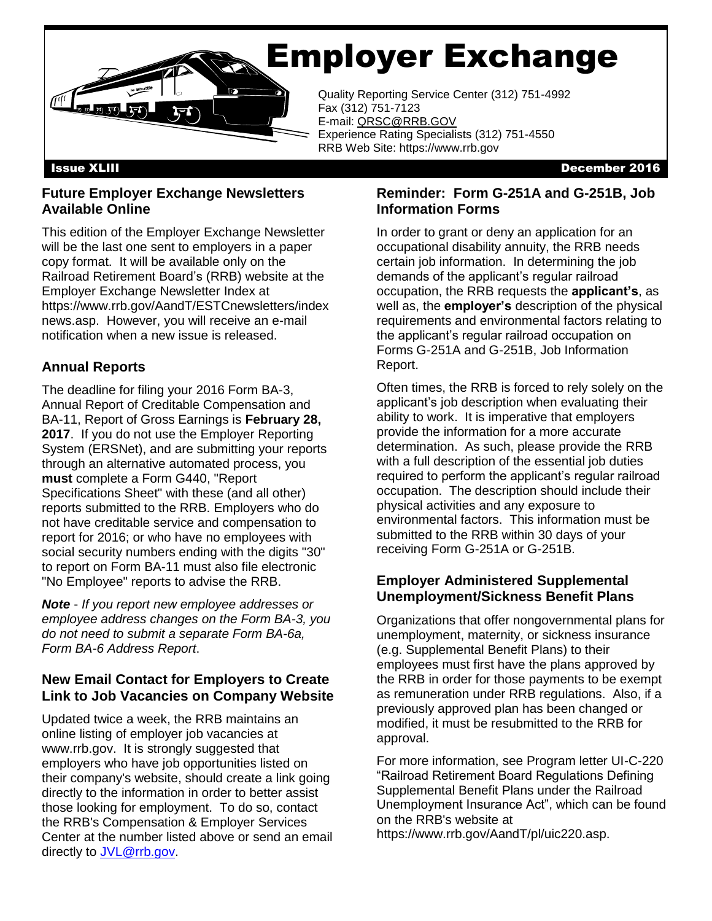Employer Exchange



Quality Reporting S<br>Fax (312) 751-7123 Quality Reporting Service Center (312) 751-4992 E-mail: QRSC@RRB.GOV Experience Rating Specialists (312) 751-4550 RRB Web Site: https://www.rrb.gov

Issue XLIII December 2016

#### **Future Employer Exchange Newsletters Available Online**

This edition of the Employer Exchange Newsletter will be the last one sent to employers in a paper copy format. It will be available only on the Railroad Retirement Board's (RRB) website at the Employer Exchange Newsletter Index at https://www.rrb.gov/AandT/ESTCnewsletters/index news.asp. However, you will receive an e-mail notification when a new issue is released.

# **Annual Reports**

The deadline for filing your 2016 Form BA-3, Annual Report of Creditable Compensation and BA-11, Report of Gross Earnings is **February 28, 2017**. If you do not use the Employer Reporting System (ERSNet), and are submitting your reports through an alternative automated process, you **must** complete a Form G440, "Report Specifications Sheet" with these (and all other) reports submitted to the RRB. Employers who do not have creditable service and compensation to report for 2016; or who have no employees with social security numbers ending with the digits "30" to report on Form BA-11 must also file electronic "No Employee" reports to advise the RRB.

*Note* - *If you report new employee addresses or employee address changes on the Form BA-3, you do not need to submit a separate Form BA-6a, Form BA-6 Address Report*.

# **New Email Contact for Employers to Create Link to Job Vacancies on Company Website**

Updated twice a week, the RRB maintains an online listing of employer job vacancies at www.rrb.gov. It is strongly suggested that employers who have job opportunities listed on their company's website, should create a link going directly to the information in order to better assist those looking for employment. To do so, contact the RRB's Compensation & Employer Services Center at the number listed above or send an email directly to [JVL@rrb.gov.](mailto:JVL@rrb.gov)

# **Reminder: Form G-251A and G-251B, Job Information Forms**

In order to grant or deny an application for an occupational disability annuity, the RRB needs certain job information. In determining the job demands of the applicant's regular railroad occupation, the RRB requests the **applicant's**, as well as, the **employer's** description of the physical requirements and environmental factors relating to the applicant's regular railroad occupation on Forms G-251A and G-251B, Job Information Report.

Often times, the RRB is forced to rely solely on the applicant's job description when evaluating their ability to work. It is imperative that employers provide the information for a more accurate determination. As such, please provide the RRB with a full description of the essential job duties required to perform the applicant's regular railroad occupation. The description should include their physical activities and any exposure to environmental factors. This information must be submitted to the RRB within 30 days of your receiving Form G-251A or G-251B.

# **Employer Administered Supplemental Unemployment/Sickness Benefit Plans**

Organizations that offer nongovernmental plans for unemployment, maternity, or sickness insurance (e.g. Supplemental Benefit Plans) to their employees must first have the plans approved by the RRB in order for those payments to be exempt as remuneration under RRB regulations. Also, if a previously approved plan has been changed or modified, it must be resubmitted to the RRB for approval.

For more information, see Program letter UI-C-220 "Railroad Retirement Board Regulations Defining Supplemental Benefit Plans under the Railroad Unemployment Insurance Act", which can be found on the RRB's website at https://www.rrb.gov/AandT/pl/uic220.asp.